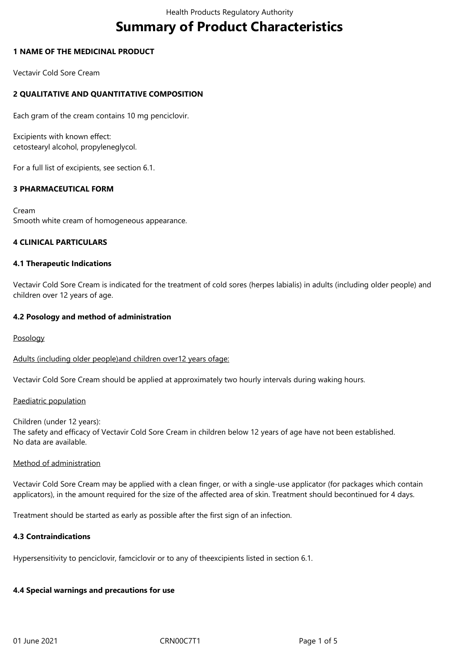# **Summary of Product Characteristics**

## **1 NAME OF THE MEDICINAL PRODUCT**

Vectavir Cold Sore Cream

# **2 QUALITATIVE AND QUANTITATIVE COMPOSITION**

Each gram of the cream contains 10 mg penciclovir.

Excipients with known effect: cetostearyl alcohol, propyleneglycol.

For a full list of excipients, see section 6.1.

## **3 PHARMACEUTICAL FORM**

Cream Smooth white cream of homogeneous appearance.

## **4 CLINICAL PARTICULARS**

## **4.1 Therapeutic Indications**

Vectavir Cold Sore Cream is indicated for the treatment of cold sores (herpes labialis) in adults (including older people) and children over 12 years of age.

## **4.2 Posology and method of administration**

Posology

Adults (including older people)and children over12 years ofage:

Vectavir Cold Sore Cream should be applied at approximately two hourly intervals during waking hours.

## Paediatric population

Children (under 12 years): The safety and efficacy of Vectavir Cold Sore Cream in children below 12 years of age have not been established. No data are available.

## Method of administration

Vectavir Cold Sore Cream may be applied with a clean finger, or with a single-use applicator (for packages which contain applicators), in the amount required for the size of the affected area of skin. Treatment should becontinued for 4 days.

Treatment should be started as early as possible after the first sign of an infection.

## **4.3 Contraindications**

Hypersensitivity to penciclovir, famciclovir or to any of theexcipients listed in section 6.1.

# **4.4 Special warnings and precautions for use**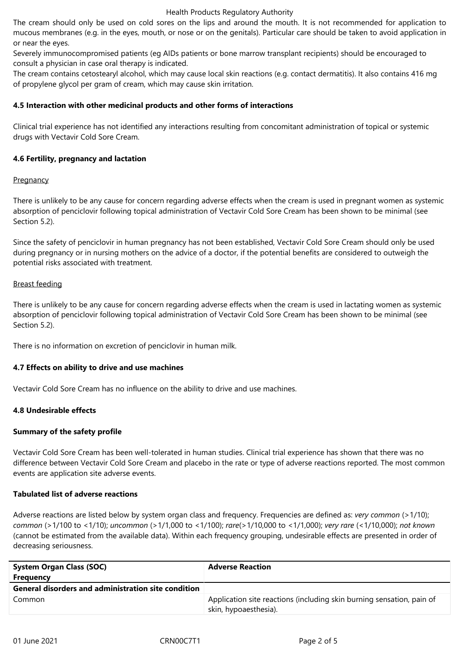#### Health Products Regulatory Authority

The cream should only be used on cold sores on the lips and around the mouth. It is not recommended for application to mucous membranes (e.g. in the eyes, mouth, or nose or on the genitals). Particular care should be taken to avoid application in or near the eyes.

Severely immunocompromised patients (eg AIDs patients or bone marrow transplant recipients) should be encouraged to consult a physician in case oral therapy is indicated.

The cream contains cetostearyl alcohol, which may cause local skin reactions (e.g. contact dermatitis). It also contains 416 mg of propylene glycol per gram of cream, which may cause skin irritation.

## **4.5 Interaction with other medicinal products and other forms of interactions**

Clinical trial experience has not identified any interactions resulting from concomitant administration of topical or systemic drugs with Vectavir Cold Sore Cream.

## **4.6 Fertility, pregnancy and lactation**

## **Pregnancy**

There is unlikely to be any cause for concern regarding adverse effects when the cream is used in pregnant women as systemic absorption of penciclovir following topical administration of Vectavir Cold Sore Cream has been shown to be minimal (see Section 5.2).

Since the safety of penciclovir in human pregnancy has not been established, Vectavir Cold Sore Cream should only be used during pregnancy or in nursing mothers on the advice of a doctor, if the potential benefits are considered to outweigh the potential risks associated with treatment.

## Breast feeding

There is unlikely to be any cause for concern regarding adverse effects when the cream is used in lactating women as systemic absorption of penciclovir following topical administration of Vectavir Cold Sore Cream has been shown to be minimal (see Section 5.2).

There is no information on excretion of penciclovir in human milk.

# **4.7 Effects on ability to drive and use machines**

Vectavir Cold Sore Cream has no influence on the ability to drive and use machines.

# **4.8 Undesirable effects**

# **Summary of the safety profile**

Vectavir Cold Sore Cream has been well-tolerated in human studies. Clinical trial experience has shown that there was no difference between Vectavir Cold Sore Cream and placebo in the rate or type of adverse reactions reported. The most common events are application site adverse events.

## **Tabulated list of adverse reactions**

Adverse reactions are listed below by system organ class and frequency. Frequencies are defined as: *very common* (>1/10); *common* (>1/100 to <1/10); *uncommon* (>1/1,000 to <1/100); *rare*(>1/10,000 to <1/1,000); *very rare* (<1/10,000); *not known*  (cannot be estimated from the available data). Within each frequency grouping, undesirable effects are presented in order of decreasing seriousness.

| <b>System Organ Class (SOC)</b><br><b>Frequency</b> | <b>Adverse Reaction</b>                                                                        |
|-----------------------------------------------------|------------------------------------------------------------------------------------------------|
| General disorders and administration site condition |                                                                                                |
| Common                                              | Application site reactions (including skin burning sensation, pain of<br>skin, hypoaesthesia). |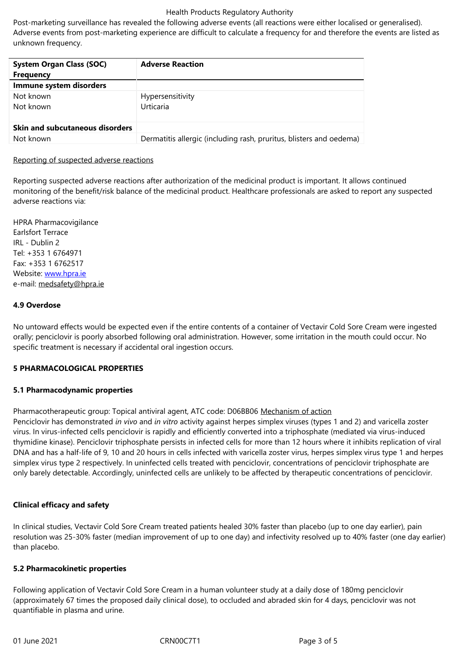unknown frequency.

| <b>System Organ Class (SOC)</b>        | <b>Adverse Reaction</b>                                             |
|----------------------------------------|---------------------------------------------------------------------|
| <b>Frequency</b>                       |                                                                     |
| Immune system disorders                |                                                                     |
| Not known                              | Hypersensitivity                                                    |
| Not known                              | Urticaria                                                           |
|                                        |                                                                     |
| <b>Skin and subcutaneous disorders</b> |                                                                     |
| Not known                              | Dermatitis allergic (including rash, pruritus, blisters and oedema) |

## Reporting of suspected adverse reactions

Reporting suspected adverse reactions after authorization of the medicinal product is important. It allows continued monitoring of the benefit/risk balance of the medicinal product. Healthcare professionals are asked to report any suspected adverse reactions via:

HPRA Pharmacovigilance Earlsfort Terrace IRL - Dublin 2 Tel: +353 1 6764971 Fax: +353 1 6762517 Website: www.hpra.ie e-mail: medsafety@hpra.ie

## **4.9 Over[dose](http://www.hpra.ie/)**

No unt[oward effects would](mailto:medsafety@hpra.ie) be expected even if the entire contents of a container of Vectavir Cold Sore Cream were ingested orally; penciclovir is poorly absorbed following oral administration. However, some irritation in the mouth could occur. No specific treatment is necessary if accidental oral ingestion occurs.

#### **5 PHARMACOLOGICAL PROPERTIES**

#### **5.1 Pharmacodynamic properties**

Pharmacotherapeutic group: Topical antiviral agent, ATC code: D06BB06 Mechanism of action Penciclovir has demonstrated *in vivo* and *in vitro* activity against herpes simplex viruses (types 1 and 2) and varicella zoster virus. In virus-infected cells penciclovir is rapidly and efficiently converted into a triphosphate (mediated via virus-induced thymidine kinase). Penciclovir triphosphate persists in infected cells for more than 12 hours where it inhibits replication of viral DNA and has a half-life of 9, 10 and 20 hours in cells infected with varicella zoster virus, herpes simplex virus type 1 and herpes simplex virus type 2 respectively. In uninfected cells treated with penciclovir, concentrations of penciclovir triphosphate are only barely detectable. Accordingly, uninfected cells are unlikely to be affected by therapeutic concentrations of penciclovir.

## **Clinical efficacy and safety**

In clinical studies, Vectavir Cold Sore Cream treated patients healed 30% faster than placebo (up to one day earlier), pain resolution was 25-30% faster (median improvement of up to one day) and infectivity resolved up to 40% faster (one day earlier) than placebo.

#### **5.2 Pharmacokinetic properties**

Following application of Vectavir Cold Sore Cream in a human volunteer study at a daily dose of 180mg penciclovir (approximately 67 times the proposed daily clinical dose), to occluded and abraded skin for 4 days, penciclovir was not quantifiable in plasma and urine.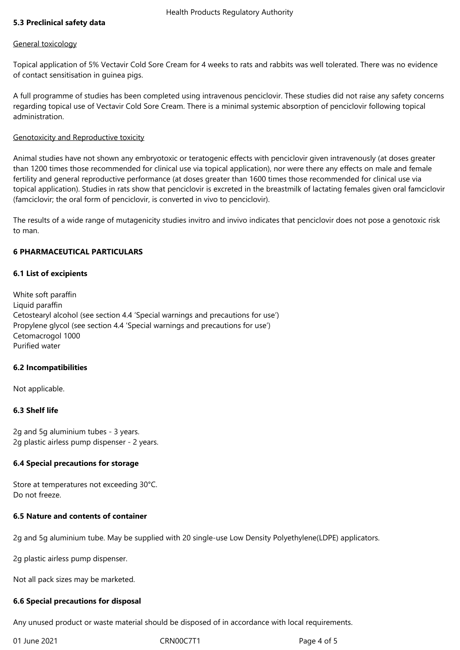## **5.3 Preclinical safety data**

#### General toxicology

Topical application of 5% Vectavir Cold Sore Cream for 4 weeks to rats and rabbits was well tolerated. There was no evidence of contact sensitisation in guinea pigs.

A full programme of studies has been completed using intravenous penciclovir. These studies did not raise any safety concerns regarding topical use of Vectavir Cold Sore Cream. There is a minimal systemic absorption of penciclovir following topical administration.

## Genotoxicity and Reproductive toxicity

Animal studies have not shown any embryotoxic or teratogenic effects with penciclovir given intravenously (at doses greater than 1200 times those recommended for clinical use via topical application), nor were there any effects on male and female fertility and general reproductive performance (at doses greater than 1600 times those recommended for clinical use via topical application). Studies in rats show that penciclovir is excreted in the breastmilk of lactating females given oral famciclovir (famciclovir; the oral form of penciclovir, is converted in vivo to penciclovir).

The results of a wide range of mutagenicity studies invitro and invivo indicates that penciclovir does not pose a genotoxic risk to man.

## **6 PHARMACEUTICAL PARTICULARS**

## **6.1 List of excipients**

White soft paraffin Liquid paraffin Cetostearyl alcohol (see section 4.4 'Special warnings and precautions for use') Propylene glycol (see section 4.4 'Special warnings and precautions for use') Cetomacrogol 1000 Purified water

## **6.2 Incompatibilities**

Not applicable.

# **6.3 Shelf life**

2g and 5g aluminium tubes - 3 years. 2g plastic airless pump dispenser - 2 years.

## **6.4 Special precautions for storage**

Store at temperatures not exceeding 30°C. Do not freeze.

## **6.5 Nature and contents of container**

2g and 5g aluminium tube. May be supplied with 20 single-use Low Density Polyethylene(LDPE) applicators.

2g plastic airless pump dispenser.

Not all pack sizes may be marketed.

## **6.6 Special precautions for disposal**

Any unused product or waste material should be disposed of in accordance with local requirements.

01 June 2021 CRN00C7T1 Page 4 of 5